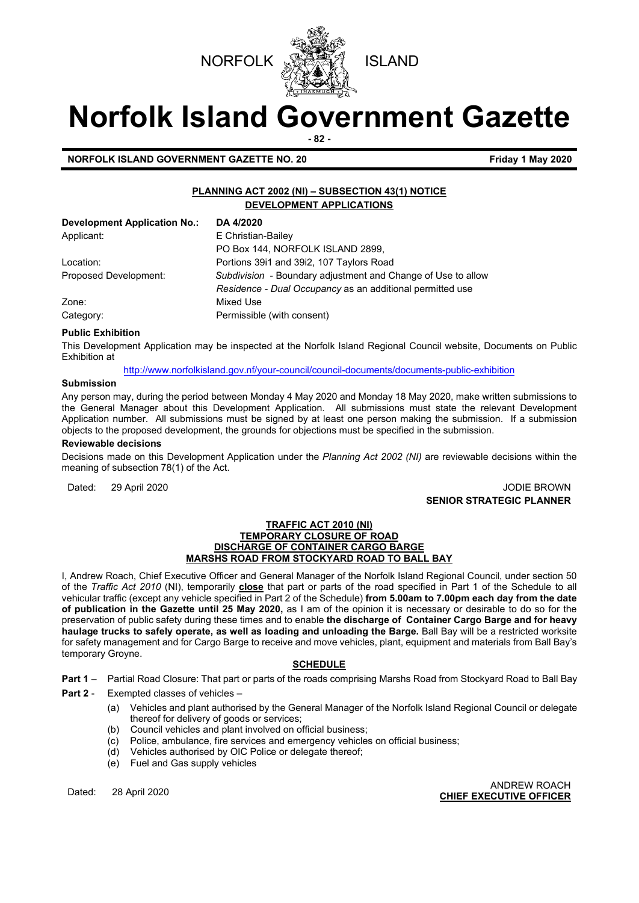



# **Norfolk Island Government Gazette**

**- 82 -**

**NORFOLK ISLAND GOVERNMENT GAZETTE NO. 20 Friday 1 May 2020** 

# **PLANNING ACT 2002 (NI) – SUBSECTION 43(1) NOTICE DEVELOPMENT APPLICATIONS**

| <b>Development Application No.:</b> | DA 4/2020                                                    |
|-------------------------------------|--------------------------------------------------------------|
| Applicant:                          | E Christian-Bailey                                           |
|                                     | PO Box 144, NORFOLK ISLAND 2899,                             |
| Location:                           | Portions 3911 and 3912, 107 Taylors Road                     |
| Proposed Development:               | Subdivision - Boundary adjustment and Change of Use to allow |
|                                     | Residence - Dual Occupancy as an additional permitted use    |
| Zone:                               | Mixed Use                                                    |
| Category:                           | Permissible (with consent)                                   |

# **Public Exhibition**

This Development Application may be inspected at the Norfolk Island Regional Council website, Documents on Public Exhibition at

<http://www.norfolkisland.gov.nf/your-council/council-documents/documents-public-exhibition>

# **Submission**

Any person may, during the period between Monday 4 May 2020 and Monday 18 May 2020, make written submissions to the General Manager about this Development Application. All submissions must state the relevant Development Application number. All submissions must be signed by at least one person making the submission. If a submission objects to the proposed development, the grounds for objections must be specified in the submission.

#### **Reviewable decisions**

Decisions made on this Development Application under the *Planning Act 2002 (NI)* are reviewable decisions within the meaning of subsection 78(1) of the Act.

Dated: 29 April 2020 **John Brown Control 2010** JODIE BROWN **SENIOR STRATEGIC PLANNER** 

#### **TRAFFIC ACT 2010 (NI) TEMPORARY CLOSURE OF ROAD DISCHARGE OF CONTAINER CARGO BARGE MARSHS ROAD FROM STOCKYARD ROAD TO BALL BAY**

I, Andrew Roach, Chief Executive Officer and General Manager of the Norfolk Island Regional Council, under section 50 of the *Traffic Act 2010* (NI), temporarily **close** that part or parts of the road specified in Part 1 of the Schedule to all vehicular traffic (except any vehicle specified in Part 2 of the Schedule) **from 5.00am to 7.00pm each day from the date of publication in the Gazette until 25 May 2020,** as I am of the opinion it is necessary or desirable to do so for the preservation of public safety during these times and to enable **the discharge of Container Cargo Barge and for heavy haulage trucks to safely operate, as well as loading and unloading the Barge.** Ball Bay will be a restricted worksite for safety management and for Cargo Barge to receive and move vehicles, plant, equipment and materials from Ball Bay's temporary Groyne.

### **SCHEDULE**

**Part 1** – Partial Road Closure: That part or parts of the roads comprising Marshs Road from Stockyard Road to Ball Bay

# **Part 2** - Exempted classes of vehicles –

- (a) Vehicles and plant authorised by the General Manager of the Norfolk Island Regional Council or delegate thereof for delivery of goods or services;
- (b) Council vehicles and plant involved on official business;
- (c) Police, ambulance, fire services and emergency vehicles on official business;
- (d) Vehicles authorised by OIC Police or delegate thereof;
- (e) Fuel and Gas supply vehicles

# Dated: 28 April 2020 ANDREW ROACH **CHIEF EXECUTIVE OFFICER**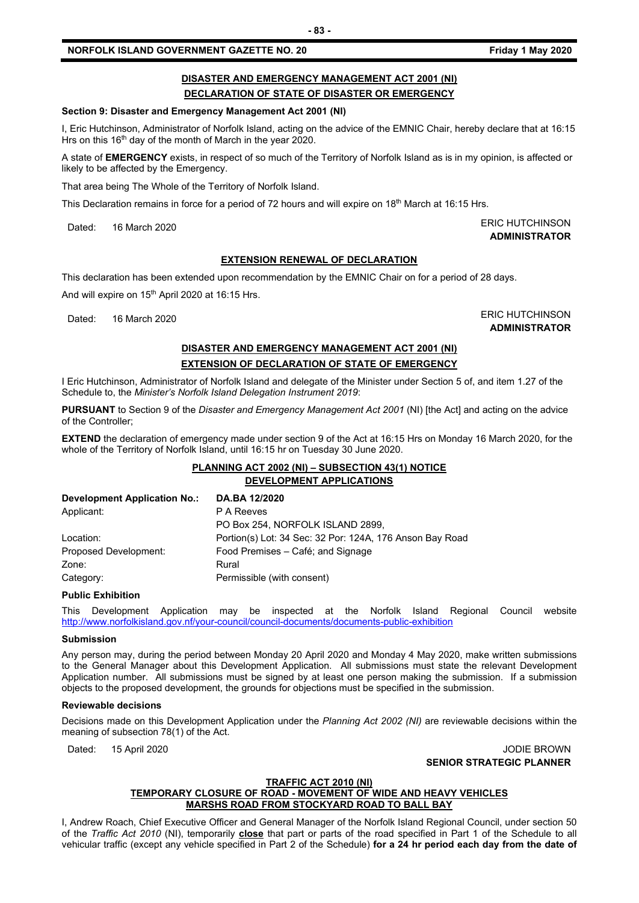# **NORFOLK ISLAND GOVERNMENT GAZETTE NO. 20 Friday 1 May 2020**

# **DISASTER AND EMERGENCY MANAGEMENT ACT 2001 (NI) DECLARATION OF STATE OF DISASTER OR EMERGENCY**

### **Section 9: Disaster and Emergency Management Act 2001 (NI)**

I, Eric Hutchinson, Administrator of Norfolk Island, acting on the advice of the EMNIC Chair, hereby declare that at 16:15 Hrs on this 16<sup>th</sup> day of the month of March in the year 2020.

A state of **EMERGENCY** exists, in respect of so much of the Territory of Norfolk Island as is in my opinion, is affected or likely to be affected by the Emergency.

That area being The Whole of the Territory of Norfolk Island.

This Declaration remains in force for a period of 72 hours and will expire on  $18<sup>th</sup>$  March at 16:15 Hrs.

Dated: 16 March 2020 **ERIC HUTCHINSON** 

# **EXTENSION RENEWAL OF DECLARATION**

This declaration has been extended upon recommendation by the EMNIC Chair on for a period of 28 days.

And will expire on 15<sup>th</sup> April 2020 at 16:15 Hrs.

Dated: 16 March 2020 ERIC HUTCHINSON

**ADMINISTRATOR**

**ADMINISTRATOR**

# **DISASTER AND EMERGENCY MANAGEMENT ACT 2001 (NI) EXTENSION OF DECLARATION OF STATE OF EMERGENCY**

I Eric Hutchinson, Administrator of Norfolk Island and delegate of the Minister under Section 5 of, and item 1.27 of the Schedule to, the *Minister's Norfolk Island Delegation Instrument 2019*:

**PURSUANT** to Section 9 of the *Disaster and Emergency Management Act 2001* (NI) [the Act] and acting on the advice of the Controller;

**EXTEND** the declaration of emergency made under section 9 of the Act at 16:15 Hrs on Monday 16 March 2020, for the whole of the Territory of Norfolk Island, until 16:15 hr on Tuesday 30 June 2020.

# **PLANNING ACT 2002 (NI) – SUBSECTION 43(1) NOTICE DEVELOPMENT APPLICATIONS**

| Development Application No.: | <b>DA.BA 12/2020</b>                                     |
|------------------------------|----------------------------------------------------------|
| Applicant:                   | P A Reeves                                               |
|                              | PO Box 254, NORFOLK ISLAND 2899,                         |
| Location:                    | Portion(s) Lot: 34 Sec: 32 Por: 124A, 176 Anson Bay Road |
| Proposed Development:        | Food Premises - Café; and Signage                        |
| Zone:                        | Rural                                                    |
| Category:                    | Permissible (with consent)                               |
|                              |                                                          |

### **Public Exhibition**

This Development Application may be inspected at the Norfolk Island Regional Council website <http://www.norfolkisland.gov.nf/your-council/council-documents/documents-public-exhibition>

#### **Submission**

Any person may, during the period between Monday 20 April 2020 and Monday 4 May 2020, make written submissions to the General Manager about this Development Application. All submissions must state the relevant Development Application number. All submissions must be signed by at least one person making the submission. If a submission objects to the proposed development, the grounds for objections must be specified in the submission.

### **Reviewable decisions**

Decisions made on this Development Application under the *Planning Act 2002 (NI)* are reviewable decisions within the meaning of subsection 78(1) of the Act.

Dated: 15 April 2020 **John Brown Community Community Community Community Community Community Community Community Community Community Community Community Community Community Community Community Community Community Community** 

**SENIOR STRATEGIC PLANNER** 

# **TRAFFIC ACT 2010 (NI)**

# **TEMPORARY CLOSURE OF ROAD - MOVEMENT OF WIDE AND HEAVY VEHICLES MARSHS ROAD FROM STOCKYARD ROAD TO BALL BAY**

I, Andrew Roach, Chief Executive Officer and General Manager of the Norfolk Island Regional Council, under section 50 of the *Traffic Act 2010* (NI), temporarily **close** that part or parts of the road specified in Part 1 of the Schedule to all vehicular traffic (except any vehicle specified in Part 2 of the Schedule) **for a 24 hr period each day from the date of**